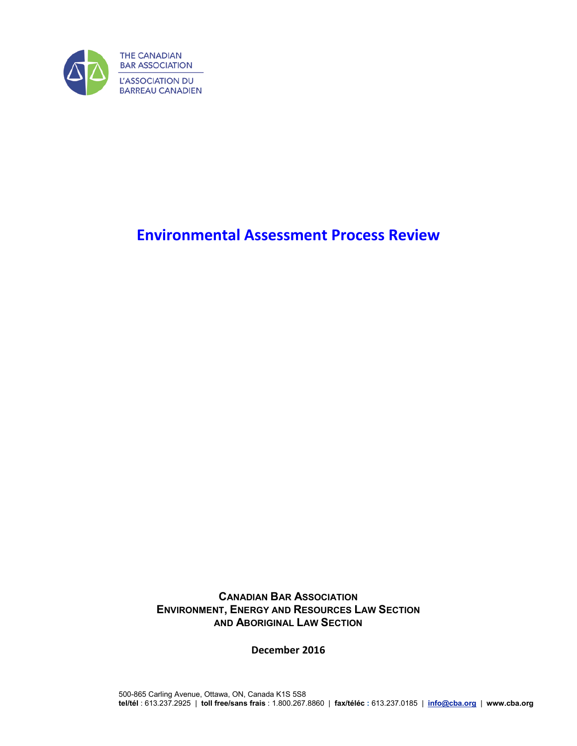

# **Environmental Assessment Process Review**

**CANADIAN BAR ASSOCIATION ENVIRONMENT, ENERGY AND RESOURCES LAW SECTION AND ABORIGINAL LAW SECTION**

**December 2016**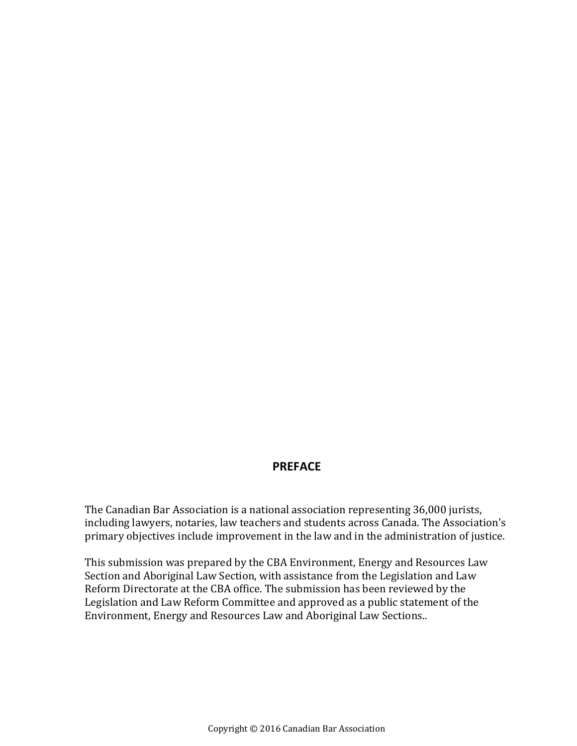### **PREFACE**

The Canadian Bar Association is a national association representing 36,000 jurists, including lawyers, notaries, law teachers and students across Canada. The Association's primary objectives include improvement in the law and in the administration of justice.

This submission was prepared by the CBA Environment, Energy and Resources Law Section and Aboriginal Law Section, with assistance from the Legislation and Law Reform Directorate at the CBA office. The submission has been reviewed by the Legislation and Law Reform Committee and approved as a public statement of the Environment, Energy and Resources Law and Aboriginal Law Sections..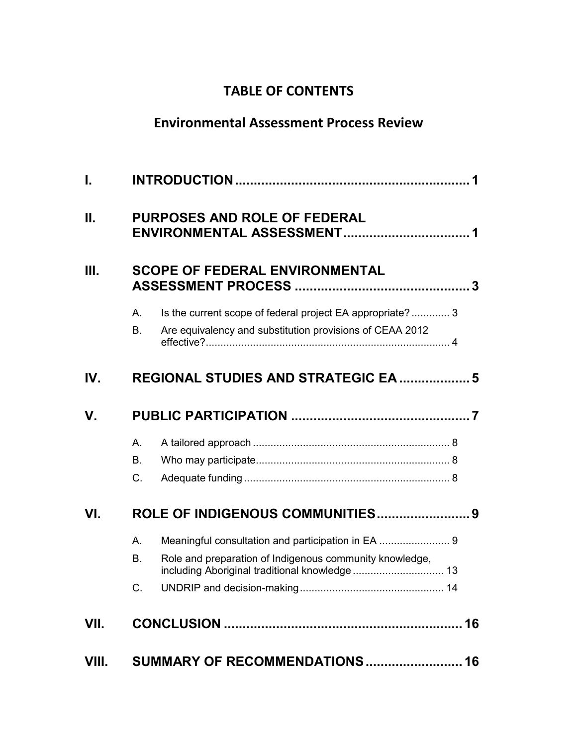# **TABLE OF CONTENTS**

# **Environmental Assessment Process Review**

| L     |                                     |                                                                                                                       |  |
|-------|-------------------------------------|-----------------------------------------------------------------------------------------------------------------------|--|
| Ш.    | <b>PURPOSES AND ROLE OF FEDERAL</b> |                                                                                                                       |  |
| III.  |                                     | <b>SCOPE OF FEDERAL ENVIRONMENTAL</b>                                                                                 |  |
|       | A.<br><b>B.</b>                     | Is the current scope of federal project EA appropriate? 3<br>Are equivalency and substitution provisions of CEAA 2012 |  |
| IV.   |                                     | <b>REGIONAL STUDIES AND STRATEGIC EA  5</b>                                                                           |  |
| V.    |                                     |                                                                                                                       |  |
|       | А.<br>В.<br>$C_{\cdot}$             |                                                                                                                       |  |
| VI.   | ROLE OF INDIGENOUS COMMUNITIES 9    |                                                                                                                       |  |
|       | A.<br><b>B.</b><br>C.               | Role and preparation of Indigenous community knowledge,                                                               |  |
| VII.  |                                     |                                                                                                                       |  |
| VIII. |                                     | SUMMARY OF RECOMMENDATIONS 16                                                                                         |  |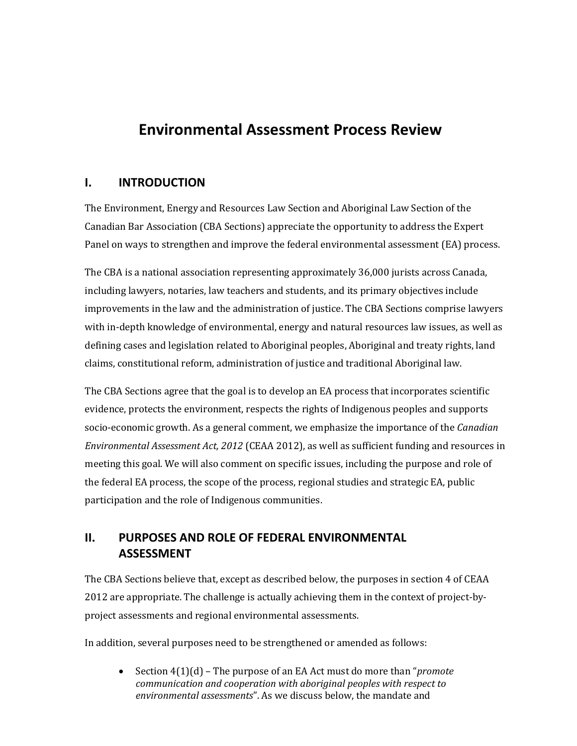# **Environmental Assessment Process Review**

### <span id="page-4-0"></span>**I. INTRODUCTION**

The Environment, Energy and Resources Law Section and Aboriginal Law Section of the Canadian Bar Association (CBA Sections) appreciate the opportunity to address the Expert Panel on ways to strengthen and improve the federal environmental assessment (EA) process.

The CBA is a national association representing approximately 36,000 jurists across Canada, including lawyers, notaries, law teachers and students, and its primary objectives include improvements in the law and the administration of justice. The CBA Sections comprise lawyers with in-depth knowledge of environmental, energy and natural resources law issues, as well as defining cases and legislation related to Aboriginal peoples, Aboriginal and treaty rights, land claims, constitutional reform, administration of justice and traditional Aboriginal law.

The CBA Sections agree that the goal is to develop an EA process that incorporates scientific evidence, protects the environment, respects the rights of Indigenous peoples and supports socio-economic growth. As a general comment, we emphasize the importance of the *Canadian Environmental Assessment Act, 2012* (CEAA 2012), as well as sufficient funding and resources in meeting this goal. We will also comment on specific issues, including the purpose and role of the federal EA process, the scope of the process, regional studies and strategic EA, public participation and the role of Indigenous communities.

# <span id="page-4-1"></span>**II. PURPOSES AND ROLE OF FEDERAL ENVIRONMENTAL ASSESSMENT**

The CBA Sections believe that, except as described below, the purposes in section 4 of CEAA 2012 are appropriate. The challenge is actually achieving them in the context of project-byproject assessments and regional environmental assessments.

In addition, several purposes need to be strengthened or amended as follows:

• Section 4(1)(d) – The purpose of an EA Act must do more than "*promote communication and cooperation with aboriginal peoples with respect to environmental assessments*". As we discuss below, the mandate and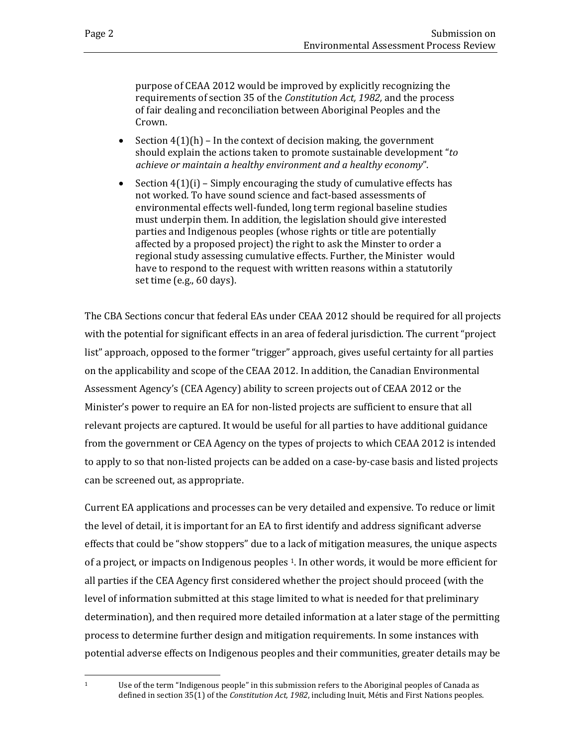purpose of CEAA 2012 would be improved by explicitly recognizing the requirements of section 35 of the *Constitution Act, 1982,* and the process of fair dealing and reconciliation between Aboriginal Peoples and the Crown.

- Section  $4(1)(h)$  In the context of decision making, the government should explain the actions taken to promote sustainable development "*to achieve or maintain a healthy environment and a healthy economy*".
- Section  $4(1)(i)$  Simply encouraging the study of cumulative effects has not worked. To have sound science and fact-based assessments of environmental effects well-funded, long term regional baseline studies must underpin them. In addition, the legislation should give interested parties and Indigenous peoples (whose rights or title are potentially affected by a proposed project) the right to ask the Minster to order a regional study assessing cumulative effects. Further, the Minister would have to respond to the request with written reasons within a statutorily set time (e.g., 60 days).

The CBA Sections concur that federal EAs under CEAA 2012 should be required for all projects with the potential for significant effects in an area of federal jurisdiction. The current "project list" approach, opposed to the former "trigger" approach, gives useful certainty for all parties on the applicability and scope of the CEAA 2012. In addition, the Canadian Environmental Assessment Agency's (CEA Agency) ability to screen projects out of CEAA 2012 or the Minister's power to require an EA for non-listed projects are sufficient to ensure that all relevant projects are captured. It would be useful for all parties to have additional guidance from the government or CEA Agency on the types of projects to which CEAA 2012 is intended to apply to so that non-listed projects can be added on a case-by-case basis and listed projects can be screened out, as appropriate.

Current EA applications and processes can be very detailed and expensive. To reduce or limit the level of detail, it is important for an EA to first identify and address significant adverse effects that could be "show stoppers" due to a [la](#page-5-0)ck of mitigation measures, the unique aspects of a project, or impacts on Indigenous peoples <sup>1</sup>. In other words, it would be more efficient for all parties if the CEA Agency first considered whether the project should proceed (with the level of information submitted at this stage limited to what is needed for that preliminary determination), and then required more detailed information at a later stage of the permitting process to determine further design and mitigation requirements. In some instances with potential adverse effects on Indigenous peoples and their communities, greater details may be

<span id="page-5-0"></span> $\mathbf{1}$ Use of the term "Indigenous people" in this submission refers to the Aboriginal peoples of Canada as defined in section 35(1) of the *Constitution Act, 1982*, including Inuit, Métis and First Nations peoples.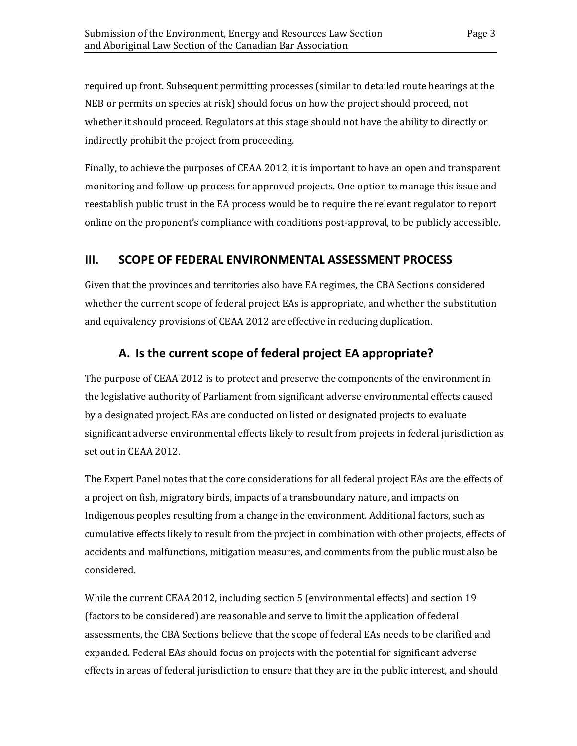required up front. Subsequent permitting processes (similar to detailed route hearings at the NEB or permits on species at risk) should focus on how the project should proceed, not whether it should proceed. Regulators at this stage should not have the ability to directly or indirectly prohibit the project from proceeding.

Finally, to achieve the purposes of CEAA 2012, it is important to have an open and transparent monitoring and follow-up process for approved projects. One option to manage this issue and reestablish public trust in the EA process would be to require the relevant regulator to report online on the proponent's compliance with conditions post-approval, to be publicly accessible.

## <span id="page-6-0"></span>**III. SCOPE OF FEDERAL ENVIRONMENTAL ASSESSMENT PROCESS**

Given that the provinces and territories also have EA regimes, the CBA Sections considered whether the current scope of federal project EAs is appropriate, and whether the substitution and equivalency provisions of CEAA 2012 are effective in reducing duplication.

## **A. Is the current scope of federal project EA appropriate?**

<span id="page-6-1"></span>The purpose of CEAA 2012 is to protect and preserve the components of the environment in the legislative authority of Parliament from significant adverse environmental effects caused by a designated project. EAs are conducted on listed or designated projects to evaluate significant adverse environmental effects likely to result from projects in federal jurisdiction as set out in CEAA 2012.

The Expert Panel notes that the core considerations for all federal project EAs are the effects of a project on fish, migratory birds, impacts of a transboundary nature, and impacts on Indigenous peoples resulting from a change in the environment. Additional factors, such as cumulative effects likely to result from the project in combination with other projects, effects of accidents and malfunctions, mitigation measures, and comments from the public must also be considered.

While the current CEAA 2012, including section 5 (environmental effects) and section 19 (factors to be considered) are reasonable and serve to limit the application of federal assessments, the CBA Sections believe that the scope of federal EAs needs to be clarified and expanded. Federal EAs should focus on projects with the potential for significant adverse effects in areas of federal jurisdiction to ensure that they are in the public interest, and should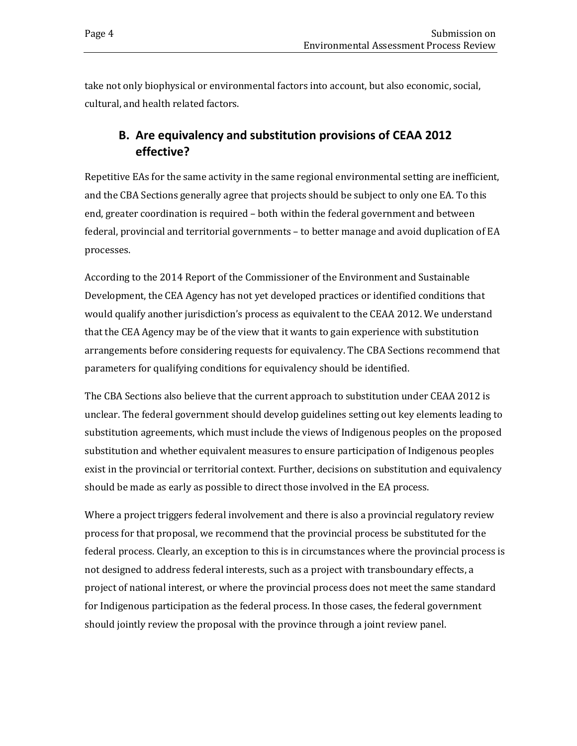take not only biophysical or environmental factors into account, but also economic, social, cultural, and health related factors.

# <span id="page-7-0"></span>**B. Are equivalency and substitution provisions of CEAA 2012 effective?**

Repetitive EAs for the same activity in the same regional environmental setting are inefficient, and the CBA Sections generally agree that projects should be subject to only one EA. To this end, greater coordination is required – both within the federal government and between federal, provincial and territorial governments – to better manage and avoid duplication of EA processes.

According to the 2014 Report of the Commissioner of the Environment and Sustainable Development, the CEA Agency has not yet developed practices or identified conditions that would qualify another jurisdiction's process as equivalent to the CEAA 2012. We understand that the CEA Agency may be of the view that it wants to gain experience with substitution arrangements before considering requests for equivalency. The CBA Sections recommend that parameters for qualifying conditions for equivalency should be identified.

The CBA Sections also believe that the current approach to substitution under CEAA 2012 is unclear. The federal government should develop guidelines setting out key elements leading to substitution agreements, which must include the views of Indigenous peoples on the proposed substitution and whether equivalent measures to ensure participation of Indigenous peoples exist in the provincial or territorial context. Further, decisions on substitution and equivalency should be made as early as possible to direct those involved in the EA process.

Where a project triggers federal involvement and there is also a provincial regulatory review process for that proposal, we recommend that the provincial process be substituted for the federal process. Clearly, an exception to this is in circumstances where the provincial process is not designed to address federal interests, such as a project with transboundary effects, a project of national interest, or where the provincial process does not meet the same standard for Indigenous participation as the federal process. In those cases, the federal government should jointly review the proposal with the province through a joint review panel.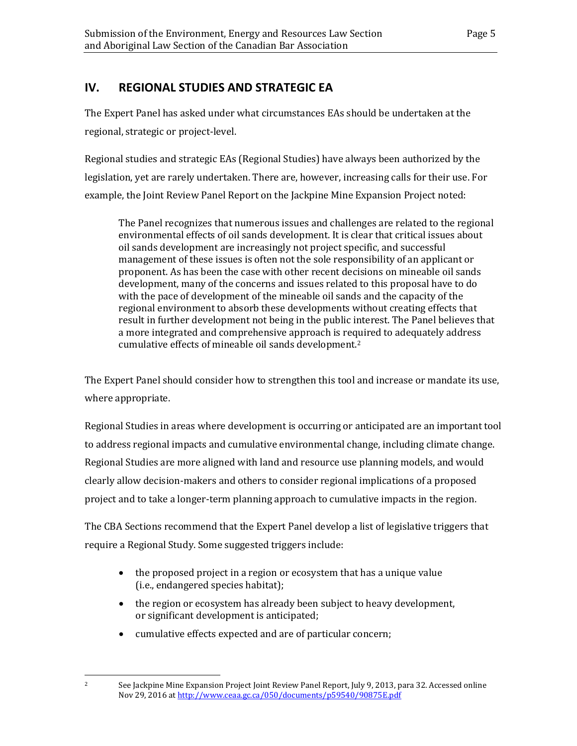# <span id="page-8-0"></span>**IV. REGIONAL STUDIES AND STRATEGIC EA**

The Expert Panel has asked under what circumstances EAs should be undertaken at the regional, strategic or project-level.

Regional studies and strategic EAs (Regional Studies) have always been authorized by the legislation, yet are rarely undertaken. There are, however, increasing calls for their use. For example, the Joint Review Panel Report on the Jackpine Mine Expansion Project noted:

The Panel recognizes that numerous issues and challenges are related to the regional environmental effects of oil sands development. It is clear that critical issues about oil sands development are increasingly not project specific, and successful management of these issues is often not the sole responsibility of an applicant or proponent. As has been the case with other recent decisions on mineable oil sands development, many of the concerns and issues related to this proposal have to do with the pace of development of the mineable oil sands and the capacity of the regional environment to absorb these developments without creating effects that result in further development not being in the public interest. The Panel believes that a more integrated and comprehensive approach is required to adequately address cumulative effects of mineable oil sands development.[2](#page-8-1)

The Expert Panel should consider how to strengthen this tool and increase or mandate its use, where appropriate.

Regional Studies in areas where development is occurring or anticipated are an important tool to address regional impacts and cumulative environmental change, including climate change. Regional Studies are more aligned with land and resource use planning models, and would clearly allow decision-makers and others to consider regional implications of a proposed project and to take a longer-term planning approach to cumulative impacts in the region.

The CBA Sections recommend that the Expert Panel develop a list of legislative triggers that require a Regional Study. Some suggested triggers include:

- the proposed project in a region or ecosystem that has a unique value (i.e., endangered species habitat);
- the region or ecosystem has already been subject to heavy development, or significant development is anticipated;
- cumulative effects expected and are of particular concern;

<span id="page-8-1"></span> $\overline{2}$ 

<sup>2</sup> See Jackpine Mine Expansion Project Joint Review Panel Report, July 9, 2013, para 32. Accessed online Nov 29, 2016 at <http://www.ceaa.gc.ca/050/documents/p59540/90875E.pdf>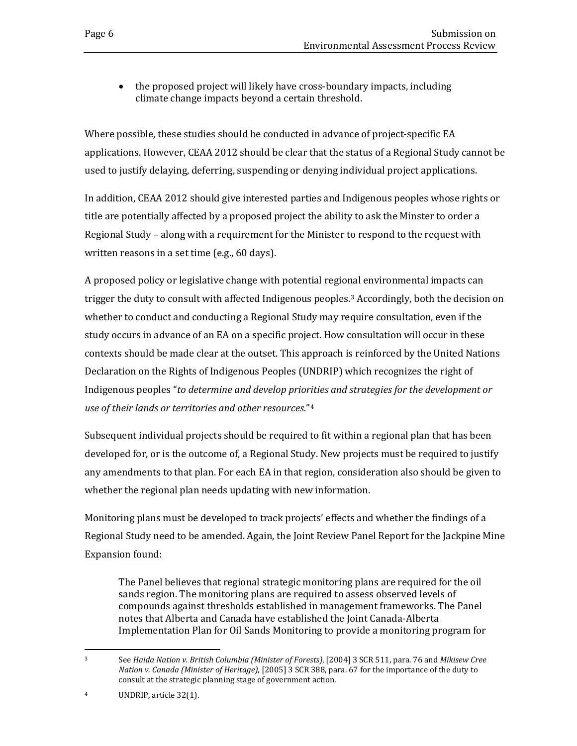• the proposed project will likely have cross-boundary impacts, including climate change impacts beyond a certain threshold.

Where possible, these studies should be conducted in advance of project-specific EA applications. However, CEAA 2012 should be clear that the status of a Regional Study cannot be used to justify delaying, deferring, suspending or denying individual project applications.

In addition, CEAA 2012 should give interested parties and Indigenous peoples whose rights or title are potentially affected by a proposed project the ability to ask the Minster to order a Regional Study – along with a requirement for the Minister to respond to the request with written reasons in a set time (e.g., 60 days).

A proposed policy or legislative change with potential regional environmental impacts can trigger the duty to consult with affected Indigenous peoples[.3](#page-9-0) Accordingly, both the decision on whether to conduct and conducting a Regional Study may require consultation, even if the study occurs in advance of an EA on a specific project. How consultation will occur in these contexts should be made clear at the outset. This approach is reinforced by the United Nations Declaration on the Rights of Indigenous Peoples (UNDRIP) which recognizes the right of Indigenous peoples "*to determine and develop priorities and strategies for the development or use of their lands or territories and other resources*."[4](#page-9-1)

Subsequent individual projects should be required to fit within a regional plan that has been developed for, or is the outcome of, a Regional Study. New projects must be required to justify any amendments to that plan. For each EA in that region, consideration also should be given to whether the regional plan needs updating with new information.

Monitoring plans must be developed to track projects' effects and whether the findings of a Regional Study need to be amended. Again, the Joint Review Panel Report for the Jackpine Mine Expansion found:

The Panel believes that regional strategic monitoring plans are required for the oil sands region. The monitoring plans are required to assess observed levels of compounds against thresholds established in management frameworks. The Panel notes that Alberta and Canada have established the Joint Canada-Alberta Implementation Plan for Oil Sands Monitoring to provide a monitoring program for

<span id="page-9-0"></span> $\overline{3}$ <sup>3</sup> See *Haida Nation v. British Columbia (Minister of Forests)*, [2004] 3 SCR 511, para. 76 and *Mikisew Cree Nation v. Canada (Minister of Heritage)*, [2005] 3 SCR 388, para. 67 for the importance of the duty to consult at the strategic planning stage of government action.

<span id="page-9-1"></span><sup>4</sup> UNDRIP, article 32(1).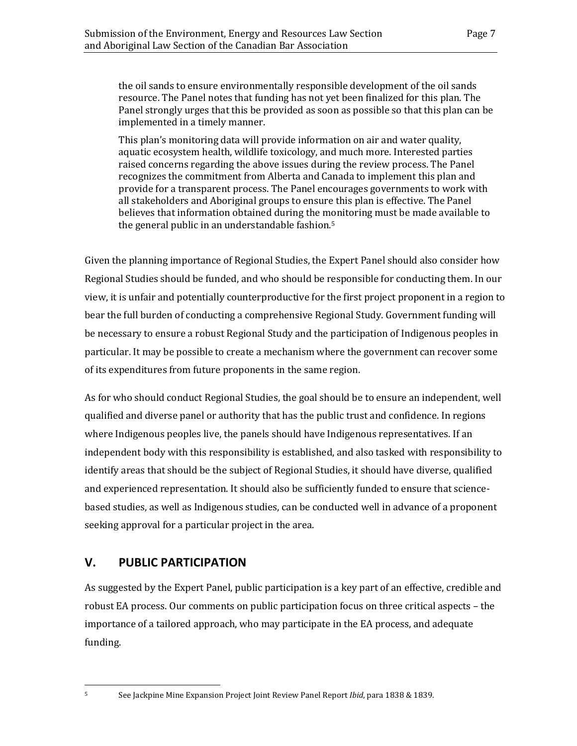the oil sands to ensure environmentally responsible development of the oil sands resource. The Panel notes that funding has not yet been finalized for this plan. The Panel strongly urges that this be provided as soon as possible so that this plan can be implemented in a timely manner.

This plan's monitoring data will provide information on air and water quality, aquatic ecosystem health, wildlife toxicology, and much more. Interested parties raised concerns regarding the above issues during the review process. The Panel recognizes the commitment from Alberta and Canada to implement this plan and provide for a transparent process. The Panel encourages governments to work with all stakeholders and Aboriginal groups to ensure this plan is effective. The Panel believes that information obtained during the m[o](#page-10-1)nitoring must be made available to the general public in an understandable fashion.5

Given the planning importance of Regional Studies, the Expert Panel should also consider how Regional Studies should be funded, and who should be responsible for conducting them. In our view, it is unfair and potentially counterproductive for the first project proponent in a region to bear the full burden of conducting a comprehensive Regional Study. Government funding will be necessary to ensure a robust Regional Study and the participation of Indigenous peoples in particular. It may be possible to create a mechanism where the government can recover some of its expenditures from future proponents in the same region.

As for who should conduct Regional Studies, the goal should be to ensure an independent, well qualified and diverse panel or authority that has the public trust and confidence. In regions where Indigenous peoples live, the panels should have Indigenous representatives. If an independent body with this responsibility is established, and also tasked with responsibility to identify areas that should be the subject of Regional Studies, it should have diverse, qualified and experienced representation. It should also be sufficiently funded to ensure that sciencebased studies, as well as Indigenous studies, can be conducted well in advance of a proponent seeking approval for a particular project in the area.

### <span id="page-10-0"></span>**V. PUBLIC PARTICIPATION**

As suggested by the Expert Panel, public participation is a key part of an effective, credible and robust EA process. Our comments on public participation focus on three critical aspects – the importance of a tailored approach, who may participate in the EA process, and adequate funding.

<span id="page-10-1"></span>5

<sup>5</sup> See Jackpine Mine Expansion Project Joint Review Panel Report *Ibid*, para 1838 & 1839.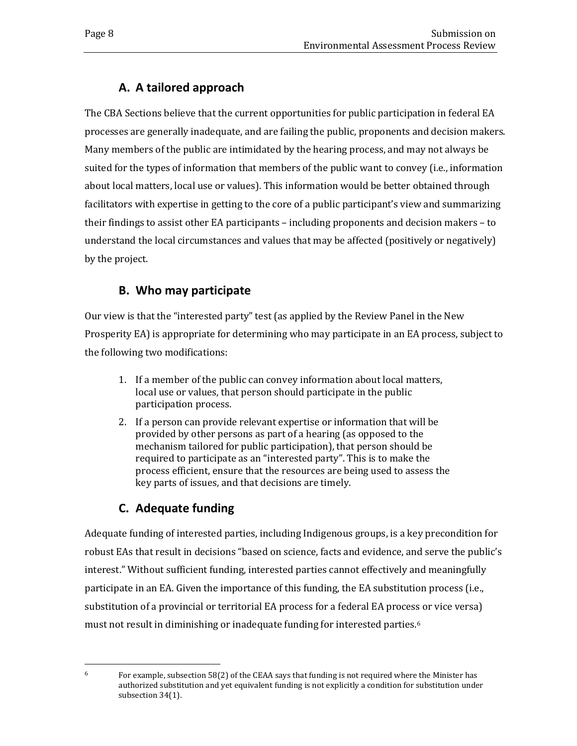# **A. A tailored approach**

<span id="page-11-0"></span>The CBA Sections believe that the current opportunities for public participation in federal EA processes are generally inadequate, and are failing the public, proponents and decision makers. Many members of the public are intimidated by the hearing process, and may not always be suited for the types of information that members of the public want to convey (i.e., information about local matters, local use or values). This information would be better obtained through facilitators with expertise in getting to the core of a public participant's view and summarizing their findings to assist other EA participants – including proponents and decision makers – to understand the local circumstances and values that may be affected (positively or negatively) by the project.

# **B. Who may participate**

<span id="page-11-1"></span>Our view is that the "interested party" test (as applied by the Review Panel in the New Prosperity EA) is appropriate for determining who may participate in an EA process, subject to the following two modifications:

- 1. If a member of the public can convey information about local matters, local use or values, that person should participate in the public participation process.
- 2. If a person can provide relevant expertise or information that will be provided by other persons as part of a hearing (as opposed to the mechanism tailored for public participation), that person should be required to participate as an "interested party". This is to make the process efficient, ensure that the resources are being used to assess the key parts of issues, and that decisions are timely.

# **C. Adequate funding**

<span id="page-11-2"></span>Adequate funding of interested parties, including Indigenous groups, is a key precondition for robust EAs that result in decisions "based on science, facts and evidence, and serve the public's interest." Without sufficient funding, interested parties cannot effectively and meaningfully participate in an EA. Given the importance of this funding, the EA substitution process (i.e., substitution of a provincial or territorial EA process for a federal EA process or vice versa) must not result in diminishing or inadequate funding for interested parties.<sup>[6](#page-11-3)</sup>

<span id="page-11-3"></span><sup>6</sup> 

<sup>6</sup> For example, subsection 58(2) of the CEAA says that funding is not required where the Minister has authorized substitution and yet equivalent funding is not explicitly a condition for substitution under subsection 34(1).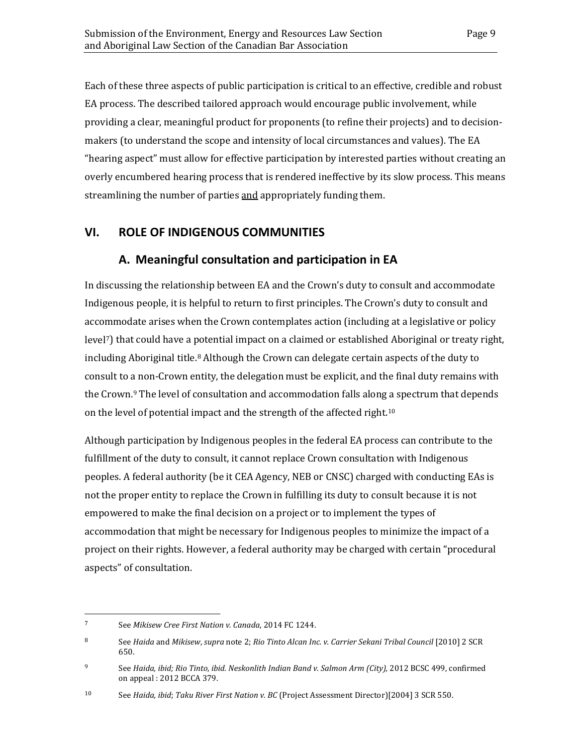streamlining the number of parties and appropriately funding them.

Each of these three aspects of public participation is critical to an effective, credible and robust EA process. The described tailored approach would encourage public involvement, while providing a clear, meaningful product for proponents (to refine their projects) and to decisionmakers (to understand the scope and intensity of local circumstances and values). The EA "hearing aspect" must allow for effective participation by interested parties without creating an overly encumbered hearing process that is rendered ineffective by its slow process. This means

### <span id="page-12-1"></span><span id="page-12-0"></span>**VI. ROLE OF INDIGENOUS COMMUNITIES**

### **A. Meaningful consultation and participation in EA**

In discussing the relationship between EA and the Crown's duty to consult and accommodate Indigenous people, it is helpful to return to first principles. The Crown's duty to consult and accommodate arises when the Crown contemplates action (including at a legislative or policy level<sup>7</sup>) that could have a potential impact on a claimed or established Aboriginal or treaty right, including Aboriginal title.<sup>[8](#page-12-3)</sup> Although the Crown can delegate certain aspects of the duty to consult to a non-Crown entity, the delegation must be explicit, and the final duty remains with the Crown.<sup>[9](#page-12-4)</sup> The level of consultation and accommodation falls along a spectrum that depends on the level of potential impact and the strength of the affected right.[10](#page-12-5)

Although participation by Indigenous peoples in the federal EA process can contribute to the fulfillment of the duty to consult, it cannot replace Crown consultation with Indigenous peoples. A federal authority (be it CEA Agency, NEB or CNSC) charged with conducting EAs is not the proper entity to replace the Crown in fulfilling its duty to consult because it is not empowered to make the final decision on a project or to implement the types of accommodation that might be necessary for Indigenous peoples to minimize the impact of a project on their rights. However, a federal authority may be charged with certain "procedural aspects" of consultation.

<span id="page-12-2"></span> $\overline{7}$ <sup>7</sup> See *Mikisew Cree First Nation v. Canada*, 2014 FC 1244.

<span id="page-12-3"></span><sup>8</sup> See *Haida* and *Mikisew*, *supra* note 2; *Rio Tinto Alcan Inc. v. Carrier Sekani Tribal Council* [2010] 2 SCR 650.

<span id="page-12-4"></span><sup>9</sup> See *Haida, ibid; Rio Tinto*, *ibid. Neskonlith Indian Band v. Salmon Arm (City),* 2012 BCSC 499, confirmed on appeal : 2012 BCCA 379.

<span id="page-12-5"></span><sup>10</sup> See *Haida, ibid*; *Taku River First Nation v. BC* (Project Assessment Director)[2004] 3 SCR 550.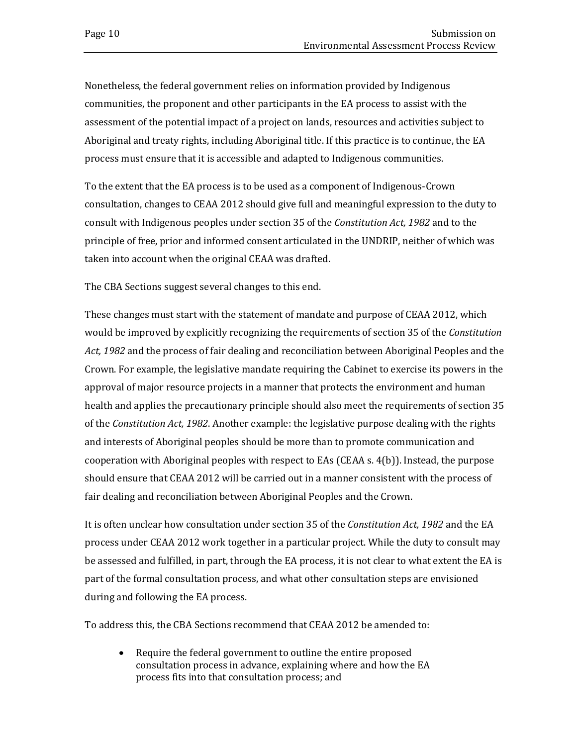Nonetheless, the federal government relies on information provided by Indigenous communities, the proponent and other participants in the EA process to assist with the assessment of the potential impact of a project on lands, resources and activities subject to Aboriginal and treaty rights, including Aboriginal title. If this practice is to continue, the EA process must ensure that it is accessible and adapted to Indigenous communities.

To the extent that the EA process is to be used as a component of Indigenous-Crown consultation, changes to CEAA 2012 should give full and meaningful expression to the duty to consult with Indigenous peoples under section 35 of the *Constitution Act, 1982* and to the principle of free, prior and informed consent articulated in the UNDRIP, neither of which was taken into account when the original CEAA was drafted.

The CBA Sections suggest several changes to this end.

These changes must start with the statement of mandate and purpose of CEAA 2012, which would be improved by explicitly recognizing the requirements of section 35 of the *Constitution Act, 1982* and the process of fair dealing and reconciliation between Aboriginal Peoples and the Crown. For example, the legislative mandate requiring the Cabinet to exercise its powers in the approval of major resource projects in a manner that protects the environment and human health and applies the precautionary principle should also meet the requirements of section 35 of the *Constitution Act, 1982*. Another example: the legislative purpose dealing with the rights and interests of Aboriginal peoples should be more than to promote communication and cooperation with Aboriginal peoples with respect to EAs (CEAA s. 4(b)). Instead, the purpose should ensure that CEAA 2012 will be carried out in a manner consistent with the process of fair dealing and reconciliation between Aboriginal Peoples and the Crown.

It is often unclear how consultation under section 35 of the *Constitution Act, 1982* and the EA process under CEAA 2012 work together in a particular project. While the duty to consult may be assessed and fulfilled, in part, through the EA process, it is not clear to what extent the EA is part of the formal consultation process, and what other consultation steps are envisioned during and following the EA process.

To address this, the CBA Sections recommend that CEAA 2012 be amended to:

• Require the federal government to outline the entire proposed consultation process in advance, explaining where and how the EA process fits into that consultation process; and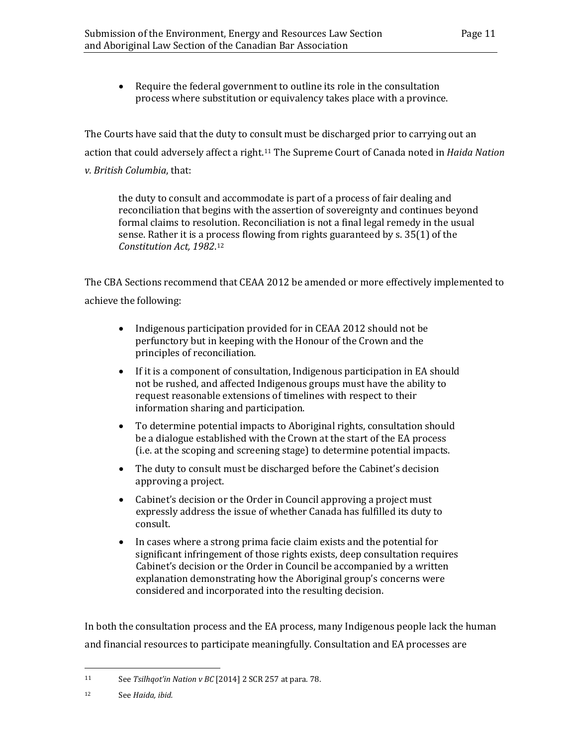• Require the federal government to outline its role in the consultation process where substitution or equivalency takes place with a province.

The Courts have said that the duty to consult must be discharged prior to carrying out an action that could adversely affect a right.[11](#page-14-0) The Supreme Court of Canada noted in *Haida Nation v. British Columbia*, that:

the duty to consult and accommodate is part of a process of fair dealing and reconciliation that begins with the assertion of sovereignty and continues beyond formal claims to resolution. Reconciliation is not a final legal remedy in the usual sense. Rather it is a process flowing from rights guaranteed by s. 35(1) of the *Constitution Act, 1982*[.12](#page-14-1)

The CBA Sections recommend that CEAA 2012 be amended or more effectively implemented to achieve the following:

- Indigenous participation provided for in CEAA 2012 should not be perfunctory but in keeping with the Honour of the Crown and the principles of reconciliation.
- If it is a component of consultation, Indigenous participation in EA should not be rushed, and affected Indigenous groups must have the ability to request reasonable extensions of timelines with respect to their information sharing and participation.
- To determine potential impacts to Aboriginal rights, consultation should be a dialogue established with the Crown at the start of the EA process (i.e. at the scoping and screening stage) to determine potential impacts.
- The duty to consult must be discharged before the Cabinet's decision approving a project.
- Cabinet's decision or the Order in Council approving a project must expressly address the issue of whether Canada has fulfilled its duty to consult.
- In cases where a strong prima facie claim exists and the potential for significant infringement of those rights exists, deep consultation requires Cabinet's decision or the Order in Council be accompanied by a written explanation demonstrating how the Aboriginal group's concerns were considered and incorporated into the resulting decision.

In both the consultation process and the EA process, many Indigenous people lack the human and financial resources to participate meaningfully. Consultation and EA processes are

<span id="page-14-0"></span> $11$ See *Tsilhqot'in Nation v BC* [2014] 2 SCR 257 at para. 78.

<span id="page-14-1"></span><sup>12</sup> See *Haida, ibid.*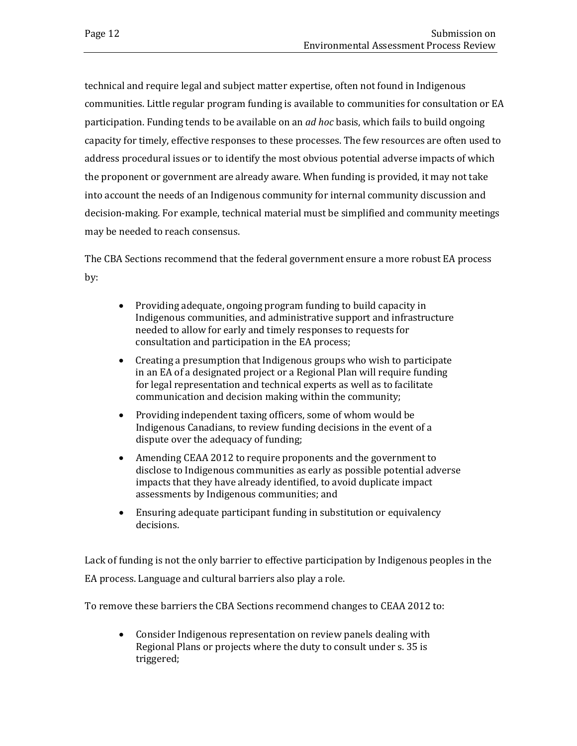technical and require legal and subject matter expertise, often not found in Indigenous communities. Little regular program funding is available to communities for consultation or EA participation. Funding tends to be available on an *ad hoc* basis, which fails to build ongoing capacity for timely, effective responses to these processes. The few resources are often used to address procedural issues or to identify the most obvious potential adverse impacts of which the proponent or government are already aware. When funding is provided, it may not take into account the needs of an Indigenous community for internal community discussion and decision-making. For example, technical material must be simplified and community meetings may be needed to reach consensus.

The CBA Sections recommend that the federal government ensure a more robust EA process by:

- Providing adequate, ongoing program funding to build capacity in Indigenous communities, and administrative support and infrastructure needed to allow for early and timely responses to requests for consultation and participation in the EA process;
- Creating a presumption that Indigenous groups who wish to participate in an EA of a designated project or a Regional Plan will require funding for legal representation and technical experts as well as to facilitate communication and decision making within the community;
- Providing independent taxing officers, some of whom would be Indigenous Canadians, to review funding decisions in the event of a dispute over the adequacy of funding;
- Amending CEAA 2012 to require proponents and the government to disclose to Indigenous communities as early as possible potential adverse impacts that they have already identified, to avoid duplicate impact assessments by Indigenous communities; and
- Ensuring adequate participant funding in substitution or equivalency decisions.

Lack of funding is not the only barrier to effective participation by Indigenous peoples in the EA process. Language and cultural barriers also play a role.

To remove these barriers the CBA Sections recommend changes to CEAA 2012 to:

• Consider Indigenous representation on review panels dealing with Regional Plans or projects where the duty to consult under s. 35 is triggered;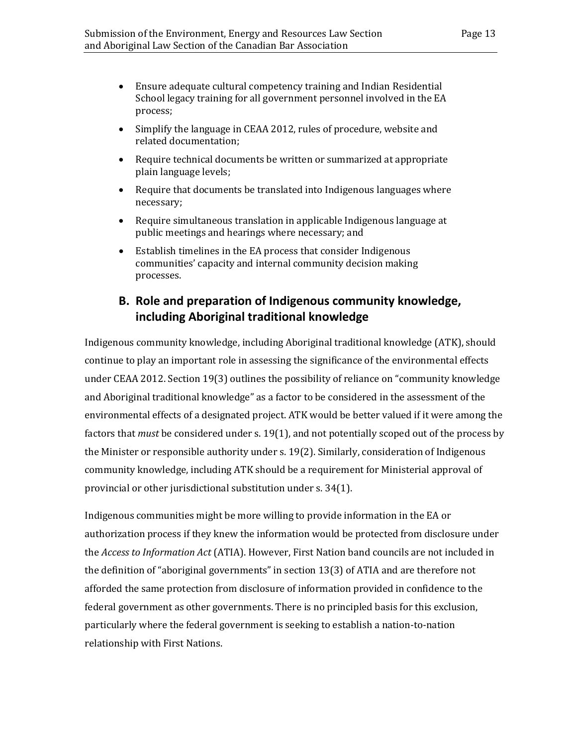- Ensure adequate cultural competency training and Indian Residential School legacy training for all government personnel involved in the EA process;
- Simplify the language in CEAA 2012, rules of procedure, website and related documentation;
- Require technical documents be written or summarized at appropriate plain language levels;
- Require that documents be translated into Indigenous languages where necessary;
- Require simultaneous translation in applicable Indigenous language at public meetings and hearings where necessary; and
- Establish timelines in the EA process that consider Indigenous communities' capacity and internal community decision making processes.

### <span id="page-16-0"></span>**B. Role and preparation of Indigenous community knowledge, including Aboriginal traditional knowledge**

Indigenous community knowledge, including Aboriginal traditional knowledge (ATK), should continue to play an important role in assessing the significance of the environmental effects under CEAA 2012. Section 19(3) outlines the possibility of reliance on "community knowledge and Aboriginal traditional knowledge" as a factor to be considered in the assessment of the environmental effects of a designated project. ATK would be better valued if it were among the factors that *must* be considered under s. 19(1), and not potentially scoped out of the process by the Minister or responsible authority under s. 19(2). Similarly, consideration of Indigenous community knowledge, including ATK should be a requirement for Ministerial approval of provincial or other jurisdictional substitution under s. 34(1).

Indigenous communities might be more willing to provide information in the EA or authorization process if they knew the information would be protected from disclosure under the *Access to Information Act* (ATIA). However, First Nation band councils are not included in the definition of "aboriginal governments" in section 13(3) of ATIA and are therefore not afforded the same protection from disclosure of information provided in confidence to the federal government as other governments. There is no principled basis for this exclusion, particularly where the federal government is seeking to establish a nation-to-nation relationship with First Nations.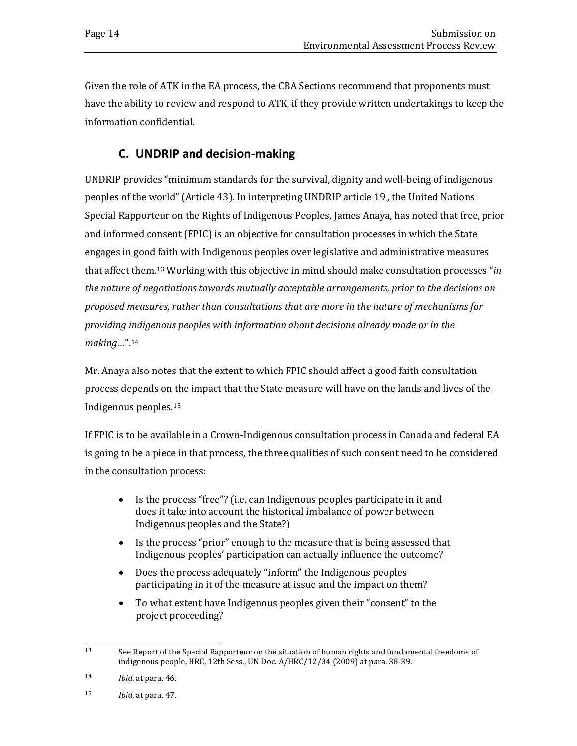Given the role of ATK in the EA process, the CBA Sections recommend that proponents must have the ability to review and respond to ATK, if they provide written undertakings to keep the information confidential.

## **C. UNDRIP and decision-making**

<span id="page-17-0"></span>UNDRIP provides "minimum standards for the survival, dignity and well-being of indigenous peoples of the world" (Article 43). In interpreting UNDRIP article 19 , the United Nations Special Rapporteur on the Rights of Indigenous Peoples, James Anaya, has noted that free, prior and informed consent (FPIC) is an objective for consultation processes in which the State engages in good faith with Indigenous peoples over legislative and administrative measures that affect them.[13](#page-17-1) Working with this objective in mind should make consultation processes "*in the nature of negotiations towards mutually acceptable arrangements, prior to the decisions on proposed measures, rather than consultations that are more in the nature of mechanisms for providing indigenous peoples with information about decisions already made or in the making…*"[.14](#page-17-2)

Mr. Anaya also notes that the extent to which FPIC should affect a good faith consultation process depends on the impact that the State measure will have on the lands and lives of the Indigenous peoples.[15](#page-17-3)

If FPIC is to be available in a Crown-Indigenous consultation process in Canada and federal EA is going to be a piece in that process, the three qualities of such consent need to be considered in the consultation process:

- Is the process "free"? (i.e. can Indigenous peoples participate in it and does it take into account the historical imbalance of power between Indigenous peoples and the State?)
- Is the process "prior" enough to the measure that is being assessed that Indigenous peoples' participation can actually influence the outcome?
- Does the process adequately "inform" the Indigenous peoples participating in it of the measure at issue and the impact on them?
- To what extent have Indigenous peoples given their "consent" to the project proceeding?

<span id="page-17-1"></span><sup>13</sup> See Report of the Special Rapporteur on the situation of human rights and fundamental freedoms of indigenous people, HRC, 12th Sess., UN Doc. A/HRC/12/34 (2009) at para. 38-39.

<span id="page-17-2"></span><sup>14</sup> *Ibid*. at para. 46.

<span id="page-17-3"></span><sup>15</sup> *Ibid*. at para. 47.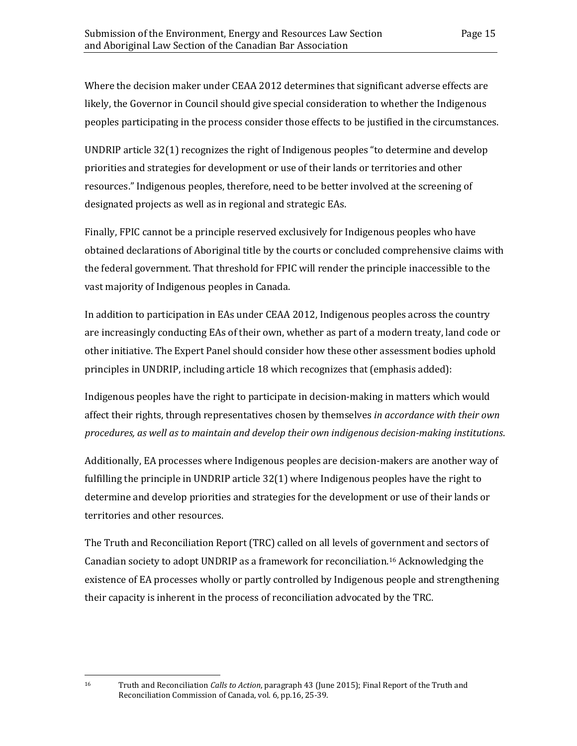Where the decision maker under CEAA 2012 determines that significant adverse effects are likely, the Governor in Council should give special consideration to whether the Indigenous peoples participating in the process consider those effects to be justified in the circumstances.

UNDRIP article 32(1) recognizes the right of Indigenous peoples "to determine and develop priorities and strategies for development or use of their lands or territories and other resources." Indigenous peoples, therefore, need to be better involved at the screening of designated projects as well as in regional and strategic EAs.

Finally, FPIC cannot be a principle reserved exclusively for Indigenous peoples who have obtained declarations of Aboriginal title by the courts or concluded comprehensive claims with the federal government. That threshold for FPIC will render the principle inaccessible to the vast majority of Indigenous peoples in Canada.

In addition to participation in EAs under CEAA 2012, Indigenous peoples across the country are increasingly conducting EAs of their own, whether as part of a modern treaty, land code or other initiative. The Expert Panel should consider how these other assessment bodies uphold principles in UNDRIP, including article 18 which recognizes that (emphasis added):

Indigenous peoples have the right to participate in decision-making in matters which would affect their rights, through representatives chosen by themselves *in accordance with their own procedures, as well as to maintain and develop their own indigenous decision-making institutions*.

Additionally, EA processes where Indigenous peoples are decision-makers are another way of fulfilling the principle in UNDRIP article 32(1) where Indigenous peoples have the right to determine and develop priorities and strategies for the development or use of their lands or territories and other resources.

The Truth and Reconciliation Report (TRC) called on all levels of government and sectors of Canadian society to adopt UNDRIP as a framework for reconciliation.[16](#page-18-0) Acknowledging the existence of EA processes wholly or partly controlled by Indigenous people and strengthening their capacity is inherent in the process of reconciliation advocated by the TRC.

<span id="page-18-0"></span> $16\,$ 

<sup>16</sup> Truth and Reconciliation *Calls to Action*, paragraph 43 (June 2015); Final Report of the Truth and Reconciliation Commission of Canada, vol. 6, pp.16, 25-39.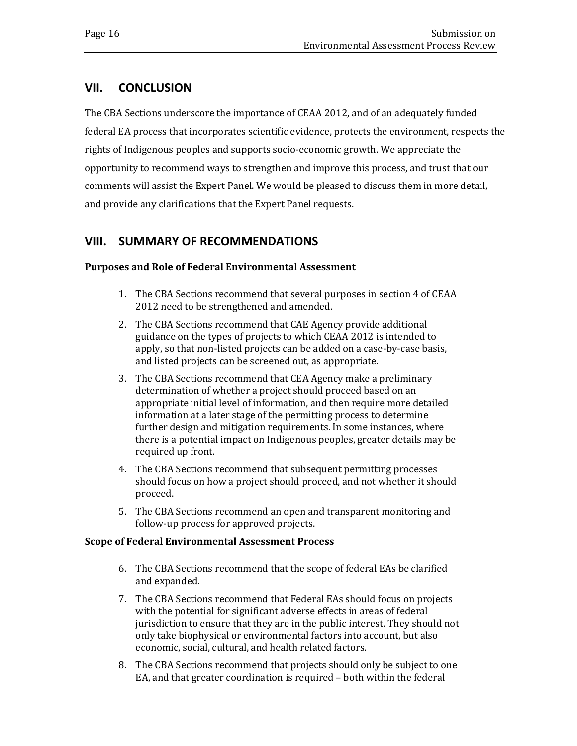#### <span id="page-19-0"></span>**VII. CONCLUSION**

The CBA Sections underscore the importance of CEAA 2012, and of an adequately funded federal EA process that incorporates scientific evidence, protects the environment, respects the rights of Indigenous peoples and supports socio-economic growth. We appreciate the opportunity to recommend ways to strengthen and improve this process, and trust that our comments will assist the Expert Panel. We would be pleased to discuss them in more detail, and provide any clarifications that the Expert Panel requests.

#### <span id="page-19-1"></span>**VIII. SUMMARY OF RECOMMENDATIONS**

#### **Purposes and Role of Federal Environmental Assessment**

- 1. The CBA Sections recommend that several purposes in section 4 of CEAA 2012 need to be strengthened and amended.
- 2. The CBA Sections recommend that CAE Agency provide additional guidance on the types of projects to which CEAA 2012 is intended to apply, so that non-listed projects can be added on a case-by-case basis, and listed projects can be screened out, as appropriate.
- 3. The CBA Sections recommend that CEA Agency make a preliminary determination of whether a project should proceed based on an appropriate initial level of information, and then require more detailed information at a later stage of the permitting process to determine further design and mitigation requirements. In some instances, where there is a potential impact on Indigenous peoples, greater details may be required up front.
- 4. The CBA Sections recommend that subsequent permitting processes should focus on how a project should proceed, and not whether it should proceed.
- 5. The CBA Sections recommend an open and transparent monitoring and follow-up process for approved projects.

#### **Scope of Federal Environmental Assessment Process**

- 6. The CBA Sections recommend that the scope of federal EAs be clarified and expanded.
- 7. The CBA Sections recommend that Federal EAs should focus on projects with the potential for significant adverse effects in areas of federal jurisdiction to ensure that they are in the public interest. They should not only take biophysical or environmental factors into account, but also economic, social, cultural, and health related factors.
- 8. The CBA Sections recommend that projects should only be subject to one EA, and that greater coordination is required – both within the federal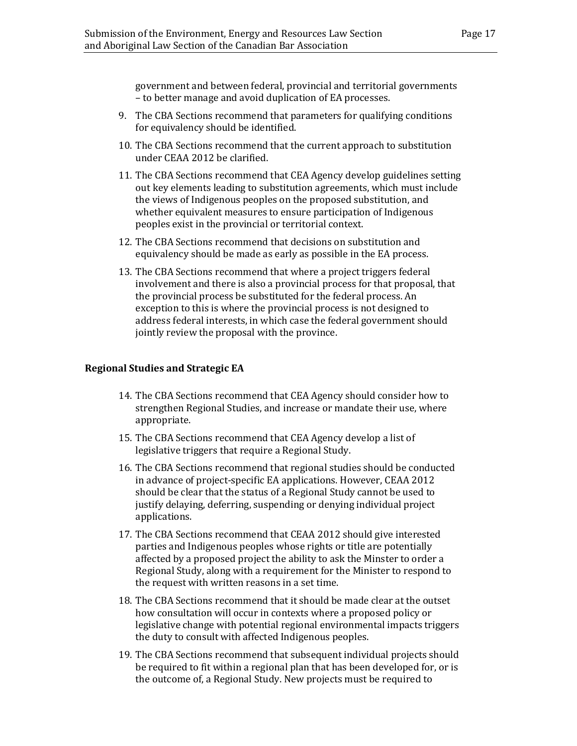government and between federal, provincial and territorial governments – to better manage and avoid duplication of EA processes.

- 9. The CBA Sections recommend that parameters for qualifying conditions for equivalency should be identified.
- 10. The CBA Sections recommend that the current approach to substitution under CEAA 2012 be clarified.
- 11. The CBA Sections recommend that CEA Agency develop guidelines setting out key elements leading to substitution agreements, which must include the views of Indigenous peoples on the proposed substitution, and whether equivalent measures to ensure participation of Indigenous peoples exist in the provincial or territorial context.
- 12. The CBA Sections recommend that decisions on substitution and equivalency should be made as early as possible in the EA process.
- 13. The CBA Sections recommend that where a project triggers federal involvement and there is also a provincial process for that proposal, that the provincial process be substituted for the federal process. An exception to this is where the provincial process is not designed to address federal interests, in which case the federal government should jointly review the proposal with the province.

#### **Regional Studies and Strategic EA**

- 14. The CBA Sections recommend that CEA Agency should consider how to strengthen Regional Studies, and increase or mandate their use, where appropriate.
- 15. The CBA Sections recommend that CEA Agency develop a list of legislative triggers that require a Regional Study.
- 16. The CBA Sections recommend that regional studies should be conducted in advance of project-specific EA applications. However, CEAA 2012 should be clear that the status of a Regional Study cannot be used to justify delaying, deferring, suspending or denying individual project applications.
- 17. The CBA Sections recommend that CEAA 2012 should give interested parties and Indigenous peoples whose rights or title are potentially affected by a proposed project the ability to ask the Minster to order a Regional Study, along with a requirement for the Minister to respond to the request with written reasons in a set time.
- 18. The CBA Sections recommend that it should be made clear at the outset how consultation will occur in contexts where a proposed policy or legislative change with potential regional environmental impacts triggers the duty to consult with affected Indigenous peoples.
- 19. The CBA Sections recommend that subsequent individual projects should be required to fit within a regional plan that has been developed for, or is the outcome of, a Regional Study. New projects must be required to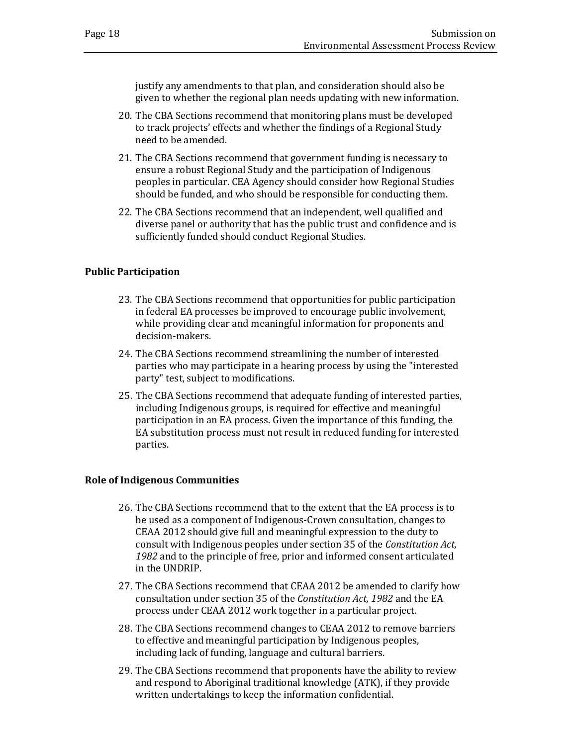justify any amendments to that plan, and consideration should also be given to whether the regional plan needs updating with new information.

- 20. The CBA Sections recommend that monitoring plans must be developed to track projects' effects and whether the findings of a Regional Study need to be amended.
- 21. The CBA Sections recommend that government funding is necessary to ensure a robust Regional Study and the participation of Indigenous peoples in particular. CEA Agency should consider how Regional Studies should be funded, and who should be responsible for conducting them.
- 22. The CBA Sections recommend that an independent, well qualified and diverse panel or authority that has the public trust and confidence and is sufficiently funded should conduct Regional Studies.

#### **Public Participation**

- 23. The CBA Sections recommend that opportunities for public participation in federal EA processes be improved to encourage public involvement, while providing clear and meaningful information for proponents and decision-makers.
- 24. The CBA Sections recommend streamlining the number of interested parties who may participate in a hearing process by using the "interested party" test, subject to modifications.
- 25. The CBA Sections recommend that adequate funding of interested parties, including Indigenous groups, is required for effective and meaningful participation in an EA process. Given the importance of this funding, the EA substitution process must not result in reduced funding for interested parties.

#### **Role of Indigenous Communities**

- 26. The CBA Sections recommend that to the extent that the EA process is to be used as a component of Indigenous-Crown consultation, changes to CEAA 2012 should give full and meaningful expression to the duty to consult with Indigenous peoples under section 35 of the *Constitution Act, 1982* and to the principle of free, prior and informed consent articulated in the UNDRIP.
- 27. The CBA Sections recommend that CEAA 2012 be amended to clarify how consultation under section 35 of the *Constitution Act, 1982* and the EA process under CEAA 2012 work together in a particular project.
- 28. The CBA Sections recommend changes to CEAA 2012 to remove barriers to effective and meaningful participation by Indigenous peoples, including lack of funding, language and cultural barriers.
- 29. The CBA Sections recommend that proponents have the ability to review and respond to Aboriginal traditional knowledge (ATK), if they provide written undertakings to keep the information confidential.